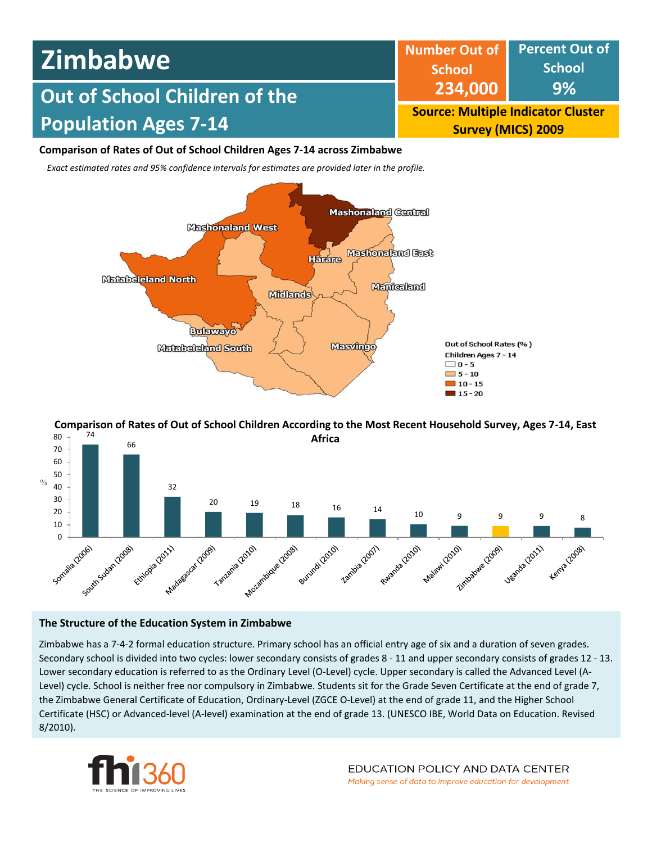

# **Comparison of Rates of Out of School Children Ages 7-14 across Zimbabwe**

*Exact estimated rates and 95% confidence intervals for estimates are provided later in the profile.* 



74 80 **Comparison of Rates of Out of School Children According to the Most Recent Household Survey, Ages 7-14, East** 



# **The Structure of the Education System in Zimbabwe**

Zimbabwe has a 7-4-2 formal education structure. Primary school has an official entry age of six and a duration of seven grades. Secondary school is divided into two cycles: lower secondary consists of grades 8 - 11 and upper secondary consists of grades 12 - 13. Lower secondary education is referred to as the Ordinary Level (O-Level) cycle. Upper secondary is called the Advanced Level (A-Level) cycle. School is neither free nor compulsory in Zimbabwe. Students sit for the Grade Seven Certificate at the end of grade 7, the Zimbabwe General Certificate of Education, Ordinary-Level (ZGCE O-Level) at the end of grade 11, and the Higher School Certificate (HSC) or Advanced-level (A-level) examination at the end of grade 13. (UNESCO IBE, World Data on Education. Revised 8/2010).

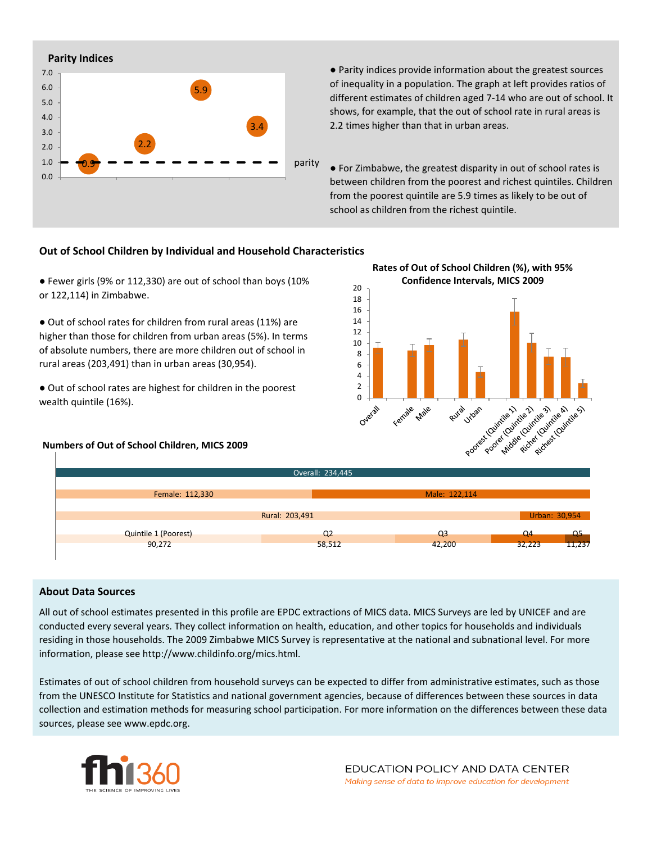

● Parity indices provide information about the greatest sources of inequality in a population. The graph at left provides ratios of different estimates of children aged 7-14 who are out of school. It shows, for example, that the out of school rate in rural areas is 2.2 times higher than that in urban areas.

● For Zimbabwe, the greatest disparity in out of school rates is between children from the poorest and richest quintiles. Children from the poorest quintile are 5.9 times as likely to be out of school as children from the richest quintile.

# **Out of School Children by Individual and Household Characteristics**

● Fewer girls (9% or 112,330) are out of school than boys (10% or 122,114) in Zimbabwe.

● Out of school rates for children from rural areas (11%) are higher than those for children from urban areas (5%). In terms of absolute numbers, there are more children out of school in rural areas (203,491) than in urban areas (30,954).

● Out of school rates are highest for children in the poorest wealth quintile (16%).

#### **Numbers of Out of School Children, MICS 2009**



| Overall: 234,445            |                |                |                |                |  |  |  |  |  |
|-----------------------------|----------------|----------------|----------------|----------------|--|--|--|--|--|
| Female: 112,330             |                | Male: 122,114  |                |                |  |  |  |  |  |
|                             | Rural: 203,491 |                |                | Urban: 30,954  |  |  |  |  |  |
| <b>Quintile 1 (Poorest)</b> | Q <sub>2</sub> | Q <sub>3</sub> | Q <sub>4</sub> | $\overline{a}$ |  |  |  |  |  |
| 90,272                      | 58,512         | 42,200         | 32,223         | 11,237         |  |  |  |  |  |

### **About Data Sources**

All out of school estimates presented in this profile are EPDC extractions of MICS data. MICS Surveys are led by UNICEF and are conducted every several years. They collect information on health, education, and other topics for households and individuals residing in those households. The 2009 Zimbabwe MICS Survey is representative at the national and subnational level. For more information, please see http://www.childinfo.org/mics.html.

Estimates of out of school children from household surveys can be expected to differ from administrative estimates, such as those from the UNESCO Institute for Statistics and national government agencies, because of differences between these sources in data collection and estimation methods for measuring school participation. For more information on the differences between these data sources, please see www.epdc.org.

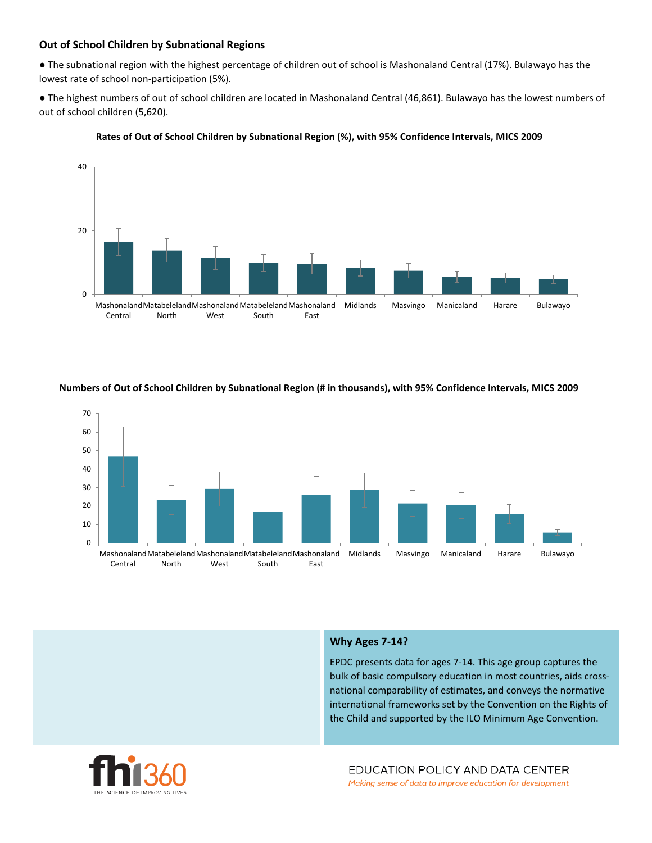# **Out of School Children by Subnational Regions**

● The subnational region with the highest percentage of children out of school is Mashonaland Central (17%). Bulawayo has the lowest rate of school non-participation (5%).

● The highest numbers of out of school children are located in Mashonaland Central (46,861). Bulawayo has the lowest numbers of out of school children (5,620).



#### **Rates of Out of School Children by Subnational Region (%), with 95% Confidence Intervals, MICS 2009**



#### **Numbers of Out of School Children by Subnational Region (# in thousands), with 95% Confidence Intervals, MICS 2009**

#### **Why Ages 7-14?**

EPDC presents data for ages 7-14. This age group captures the bulk of basic compulsory education in most countries, aids crossnational comparability of estimates, and conveys the normative international frameworks set by the Convention on the Rights of the Child and supported by the ILO Minimum Age Convention.

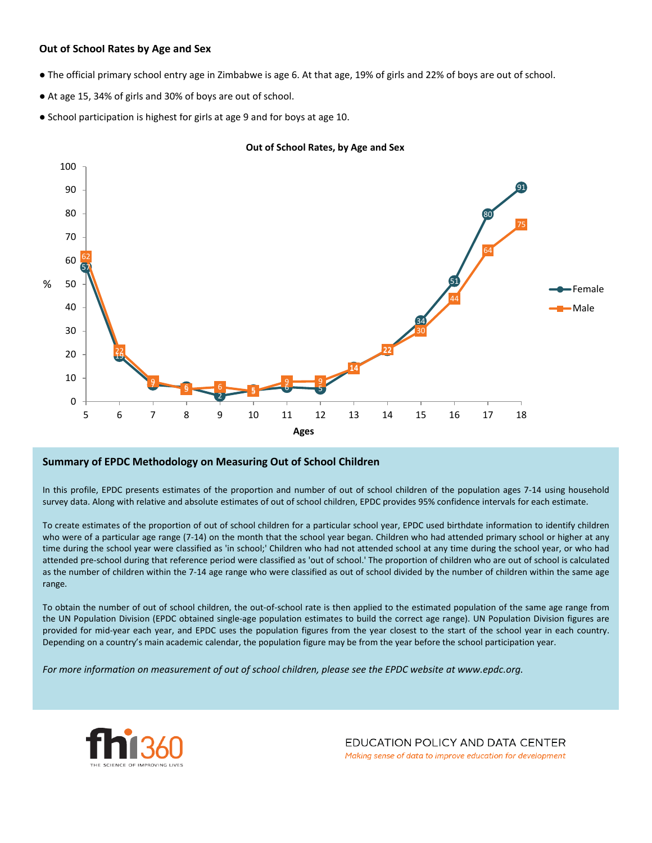# **Out of School Rates by Age and Sex**

- The official primary school entry age in Zimbabwe is age 6. At that age, 19% of girls and 22% of boys are out of school.
- At age 15, 34% of girls and 30% of boys are out of school.
- School participation is highest for girls at age 9 and for boys at age 10.



#### **Out of School Rates, by Age and Sex**

### **Summary of EPDC Methodology on Measuring Out of School Children**

In this profile, EPDC presents estimates of the proportion and number of out of school children of the population ages 7-14 using household survey data. Along with relative and absolute estimates of out of school children, EPDC provides 95% confidence intervals for each estimate.

To create estimates of the proportion of out of school children for a particular school year, EPDC used birthdate information to identify children who were of a particular age range (7-14) on the month that the school year began. Children who had attended primary school or higher at any time during the school year were classified as 'in school;' Children who had not attended school at any time during the school year, or who had attended pre-school during that reference period were classified as 'out of school.' The proportion of children who are out of school is calculated as the number of children within the 7-14 age range who were classified as out of school divided by the number of children within the same age range.

To obtain the number of out of school children, the out-of-school rate is then applied to the estimated population of the same age range from the UN Population Division (EPDC obtained single-age population estimates to build the correct age range). UN Population Division figures are provided for mid-year each year, and EPDC uses the population figures from the year closest to the start of the school year in each country. Depending on a country's main academic calendar, the population figure may be from the year before the school participation year.

For more information on measurement of out of school children, please see the EPDC website at www.epdc.org.



EDUCATION POLICY AND DATA CENTER Making sense of data to improve education for development